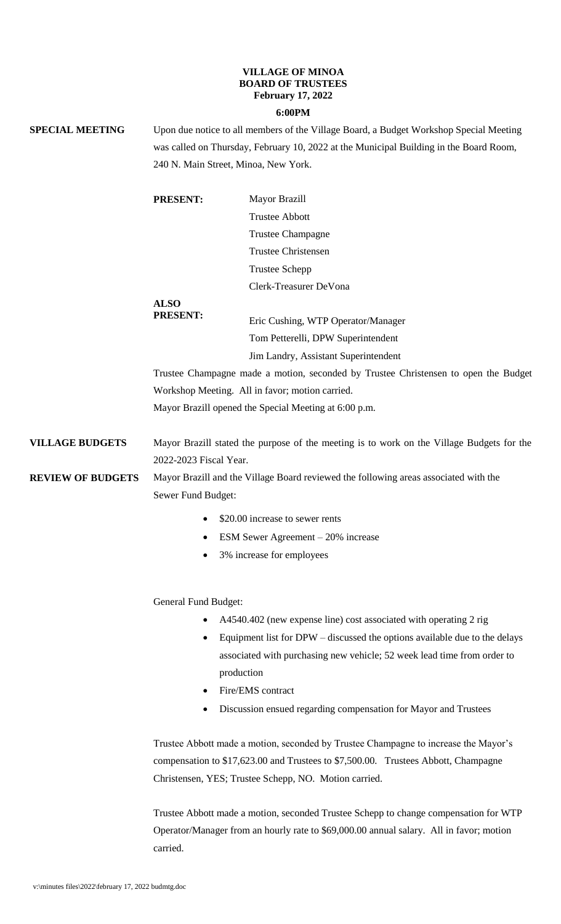## **VILLAGE OF MINOA BOARD OF TRUSTEES February 17, 2022**

## **6:00PM**

| <b>SPECIAL MEETING</b>   | Upon due notice to all members of the Village Board, a Budget Workshop Special Meeting<br>was called on Thursday, February 10, 2022 at the Municipal Building in the Board Room,<br>240 N. Main Street, Minoa, New York. |                                                                                                                                                                                                                                    |
|--------------------------|--------------------------------------------------------------------------------------------------------------------------------------------------------------------------------------------------------------------------|------------------------------------------------------------------------------------------------------------------------------------------------------------------------------------------------------------------------------------|
|                          | <b>PRESENT:</b>                                                                                                                                                                                                          | Mayor Brazill<br><b>Trustee Abbott</b>                                                                                                                                                                                             |
|                          |                                                                                                                                                                                                                          | <b>Trustee Champagne</b>                                                                                                                                                                                                           |
|                          |                                                                                                                                                                                                                          | <b>Trustee Christensen</b>                                                                                                                                                                                                         |
|                          |                                                                                                                                                                                                                          | <b>Trustee Schepp</b>                                                                                                                                                                                                              |
|                          |                                                                                                                                                                                                                          | Clerk-Treasurer DeVona                                                                                                                                                                                                             |
|                          | <b>ALSO</b><br><b>PRESENT:</b>                                                                                                                                                                                           | Eric Cushing, WTP Operator/Manager                                                                                                                                                                                                 |
|                          |                                                                                                                                                                                                                          | Tom Petterelli, DPW Superintendent                                                                                                                                                                                                 |
|                          |                                                                                                                                                                                                                          | Jim Landry, Assistant Superintendent                                                                                                                                                                                               |
|                          |                                                                                                                                                                                                                          | Trustee Champagne made a motion, seconded by Trustee Christensen to open the Budget                                                                                                                                                |
|                          |                                                                                                                                                                                                                          | Workshop Meeting. All in favor; motion carried.                                                                                                                                                                                    |
|                          |                                                                                                                                                                                                                          | Mayor Brazill opened the Special Meeting at 6:00 p.m.                                                                                                                                                                              |
| <b>VILLAGE BUDGETS</b>   | Mayor Brazill stated the purpose of the meeting is to work on the Village Budgets for the<br>2022-2023 Fiscal Year.                                                                                                      |                                                                                                                                                                                                                                    |
| <b>REVIEW OF BUDGETS</b> | Mayor Brazill and the Village Board reviewed the following areas associated with the<br>Sewer Fund Budget:                                                                                                               |                                                                                                                                                                                                                                    |
|                          |                                                                                                                                                                                                                          | \$20.00 increase to sewer rents                                                                                                                                                                                                    |
|                          |                                                                                                                                                                                                                          | ESM Sewer Agreement $-20\%$ increase                                                                                                                                                                                               |
|                          |                                                                                                                                                                                                                          | 3% increase for employees                                                                                                                                                                                                          |
|                          | <b>General Fund Budget:</b>                                                                                                                                                                                              |                                                                                                                                                                                                                                    |
|                          |                                                                                                                                                                                                                          | A4540.402 (new expense line) cost associated with operating 2 rig                                                                                                                                                                  |
|                          | $\bullet$                                                                                                                                                                                                                | Equipment list for DPW – discussed the options available due to the delays<br>associated with purchasing new vehicle; 52 week lead time from order to<br>production                                                                |
|                          |                                                                                                                                                                                                                          | Fire/EMS contract                                                                                                                                                                                                                  |
|                          |                                                                                                                                                                                                                          | Discussion ensued regarding compensation for Mayor and Trustees                                                                                                                                                                    |
|                          |                                                                                                                                                                                                                          | Trustee Abbott made a motion, seconded by Trustee Champagne to increase the Mayor's<br>compensation to \$17,623.00 and Trustees to \$7,500.00. Trustees Abbott, Champagne<br>Christensen, YES; Trustee Schepp, NO. Motion carried. |

Trustee Abbott made a motion, seconded Trustee Schepp to change compensation for WTP Operator/Manager from an hourly rate to \$69,000.00 annual salary. All in favor; motion carried.